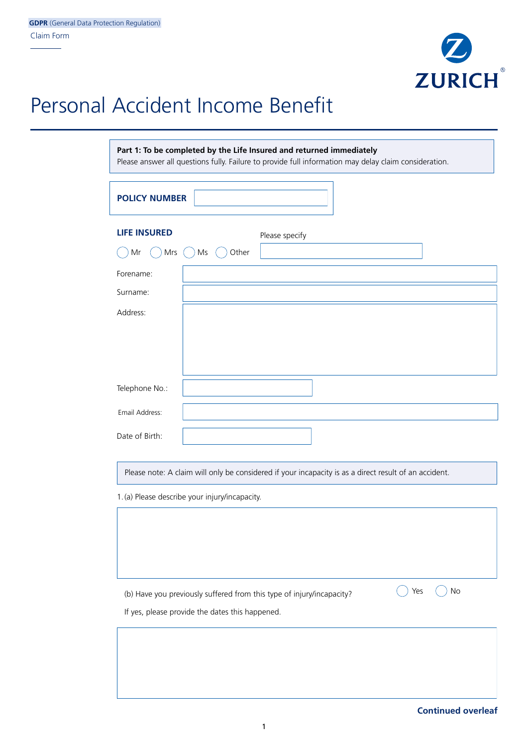

## Personal Accident Income Benefit

# **Part 1: To be completed by the Life Insured and returned immediately** Please answer all questions fully. Failure to provide full information may delay claim consideration. **POLICY NUMBER LIFE INSURED**  $\bigcap$  Mr  $\bigcap$  Mrs  $\bigcap$  Ms  $\bigcap$  Other Please specify Forename: Surname: Address: Telephone No.: Date of Birth: Please note: A claim will only be considered if your incapacity is as a direct result of an accident. 1.(a) Please describe your injury/incapacity. Email Address:

(b) Have you previously suffered from this type of injury/incapacity?  $\bigcirc$  Yes  $\bigcirc$  No

If yes, please provide the dates this happened.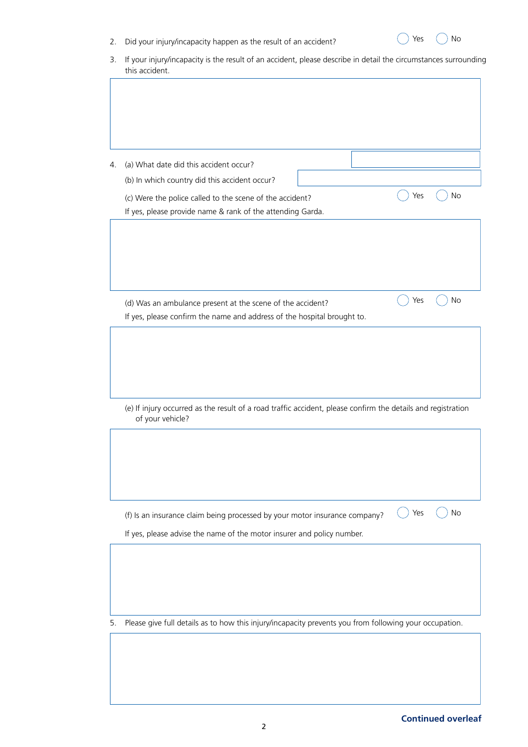|  |  |  |  |  | Did your injury/incapacity happen as the result of an accident? |  |
|--|--|--|--|--|-----------------------------------------------------------------|--|
|  |  |  |  |  |                                                                 |  |

| 3. If your injury/incapacity is the result of an accident, please describe in detail the circumstances surrounding |
|--------------------------------------------------------------------------------------------------------------------|
| this accident.                                                                                                     |

| 4. | (a) What date did this accident occur?                                                                                                |     |    |
|----|---------------------------------------------------------------------------------------------------------------------------------------|-----|----|
|    | (b) In which country did this accident occur?                                                                                         |     |    |
|    |                                                                                                                                       | Yes | No |
|    | (c) Were the police called to the scene of the accident?<br>If yes, please provide name & rank of the attending Garda.                |     |    |
|    |                                                                                                                                       |     |    |
|    |                                                                                                                                       |     |    |
|    |                                                                                                                                       |     |    |
|    |                                                                                                                                       |     |    |
|    |                                                                                                                                       |     |    |
|    |                                                                                                                                       | Yes | No |
|    | (d) Was an ambulance present at the scene of the accident?<br>If yes, please confirm the name and address of the hospital brought to. |     |    |
|    |                                                                                                                                       |     |    |
|    |                                                                                                                                       |     |    |
|    |                                                                                                                                       |     |    |
|    |                                                                                                                                       |     |    |
|    |                                                                                                                                       |     |    |
|    | (e) If injury occurred as the result of a road traffic accident, please confirm the details and registration<br>of your vehicle?      |     |    |
|    |                                                                                                                                       |     |    |
|    |                                                                                                                                       |     |    |
|    |                                                                                                                                       |     |    |
|    |                                                                                                                                       |     |    |
|    |                                                                                                                                       |     |    |
|    |                                                                                                                                       | Yes | No |
|    | (f) Is an insurance claim being processed by your motor insurance company?                                                            |     |    |
|    | If yes, please advise the name of the motor insurer and policy number.                                                                |     |    |
|    |                                                                                                                                       |     |    |
|    |                                                                                                                                       |     |    |
|    |                                                                                                                                       |     |    |
|    |                                                                                                                                       |     |    |
|    |                                                                                                                                       |     |    |
| 5. | Please give full details as to how this injury/incapacity prevents you from following your occupation.                                |     |    |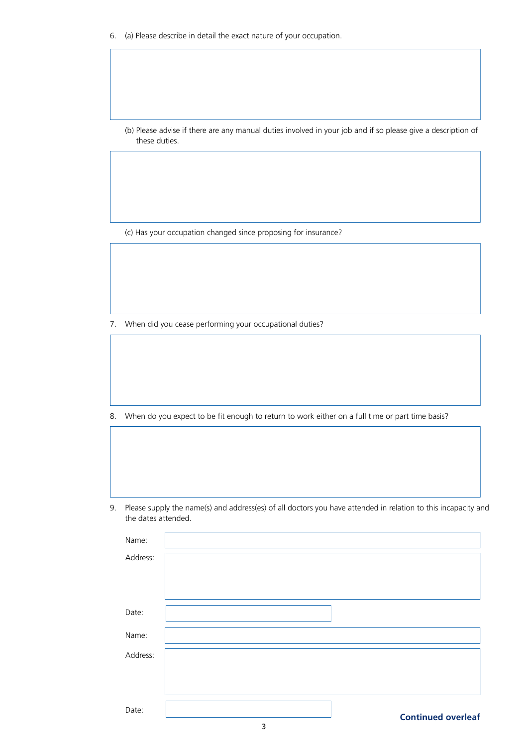6. (a) Please describe in detail the exact nature of your occupation.

(b) Please advise if there are any manual duties involved in your job and if so please give a description of these duties.

(c) Has your occupation changed since proposing for insurance?

7. When did you cease performing your occupational duties?

8. When do you expect to be fit enough to return to work either on a full time or part time basis?

9. Please supply the name(s) and address(es) of all doctors you have attended in relation to this incapacity and the dates attended.

| Name:    |                           |
|----------|---------------------------|
| Address: |                           |
|          |                           |
|          |                           |
| Date:    |                           |
| Name:    |                           |
| Address: |                           |
|          |                           |
|          |                           |
| Date:    | <b>Continued overleaf</b> |
|          |                           |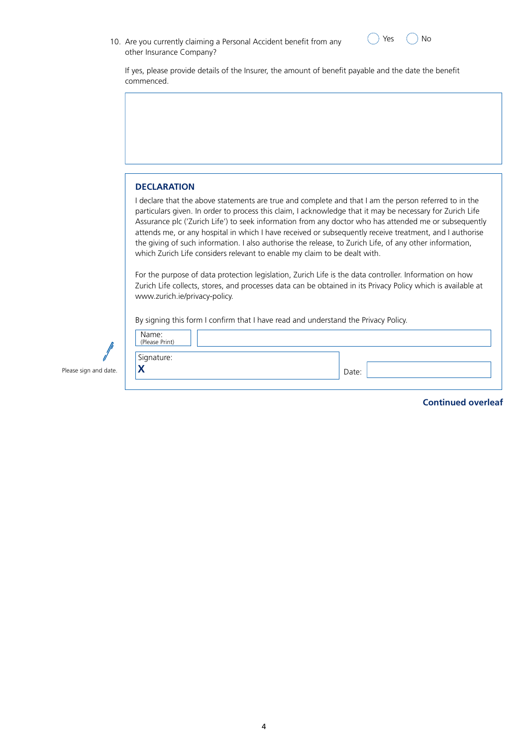| commenced.         |                                                                                                                                                                                                                                                                                                                                                                                                                                                                                                                                                                                                                                |  | If yes, please provide details of the Insurer, the amount of benefit payable and the date the benefit |
|--------------------|--------------------------------------------------------------------------------------------------------------------------------------------------------------------------------------------------------------------------------------------------------------------------------------------------------------------------------------------------------------------------------------------------------------------------------------------------------------------------------------------------------------------------------------------------------------------------------------------------------------------------------|--|-------------------------------------------------------------------------------------------------------|
|                    |                                                                                                                                                                                                                                                                                                                                                                                                                                                                                                                                                                                                                                |  |                                                                                                       |
|                    |                                                                                                                                                                                                                                                                                                                                                                                                                                                                                                                                                                                                                                |  |                                                                                                       |
|                    |                                                                                                                                                                                                                                                                                                                                                                                                                                                                                                                                                                                                                                |  |                                                                                                       |
|                    |                                                                                                                                                                                                                                                                                                                                                                                                                                                                                                                                                                                                                                |  |                                                                                                       |
|                    |                                                                                                                                                                                                                                                                                                                                                                                                                                                                                                                                                                                                                                |  |                                                                                                       |
|                    |                                                                                                                                                                                                                                                                                                                                                                                                                                                                                                                                                                                                                                |  |                                                                                                       |
| <b>DECLARATION</b> |                                                                                                                                                                                                                                                                                                                                                                                                                                                                                                                                                                                                                                |  |                                                                                                       |
|                    | I declare that the above statements are true and complete and that I am the person referred to in the<br>particulars given. In order to process this claim, I acknowledge that it may be necessary for Zurich Life<br>Assurance plc ('Zurich Life') to seek information from any doctor who has attended me or subsequently<br>attends me, or any hospital in which I have received or subsequently receive treatment, and I authorise<br>the giving of such information. I also authorise the release, to Zurich Life, of any other information,<br>which Zurich Life considers relevant to enable my claim to be dealt with. |  |                                                                                                       |
|                    | For the purpose of data protection legislation, Zurich Life is the data controller. Information on how<br>Zurich Life collects, stores, and processes data can be obtained in its Privacy Policy which is available at<br>www.zurich.ie/privacy-policy.                                                                                                                                                                                                                                                                                                                                                                        |  |                                                                                                       |
|                    |                                                                                                                                                                                                                                                                                                                                                                                                                                                                                                                                                                                                                                |  |                                                                                                       |
|                    | By signing this form I confirm that I have read and understand the Privacy Policy.                                                                                                                                                                                                                                                                                                                                                                                                                                                                                                                                             |  |                                                                                                       |

 $\vert$ 

Please sign and date.  $\begin{vmatrix} \mathbf{X} \end{vmatrix}$ 

**Continued overleaf**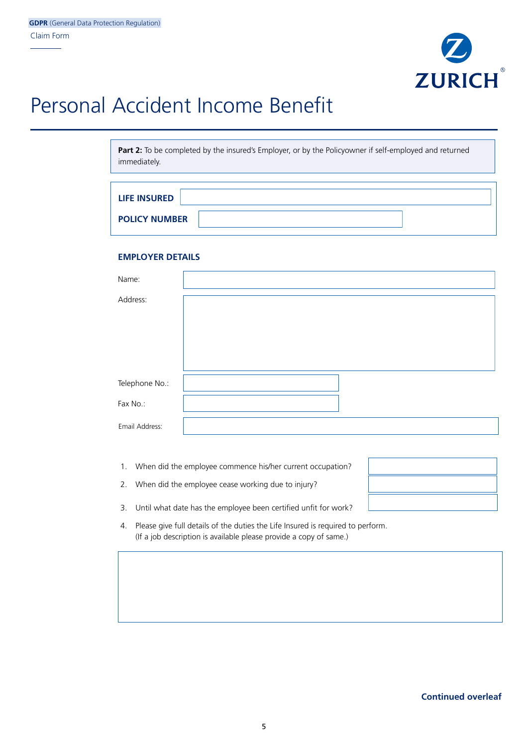

# Personal Accident Income Benefit

Part 2: To be completed by the insured's Employer, or by the Policyowner if self-employed and returned immediately.

| <b>LIFE INSURED</b>  |  |
|----------------------|--|
| <b>POLICY NUMBER</b> |  |

#### **EMPLOYER DETAILS**

| Name:          |  |
|----------------|--|
| Address:       |  |
|                |  |
|                |  |
|                |  |
| Telephone No.: |  |
| Fax No.:       |  |
| Email Address: |  |

- 1. When did the employee commence his/her current occupation?
- 2. When did the employee cease working due to injury?
- 3. Until what date has the employee been certified unfit for work?
- 4. Please give full details of the duties the Life Insured is required to perform. (If a job description is available please provide a copy of same.)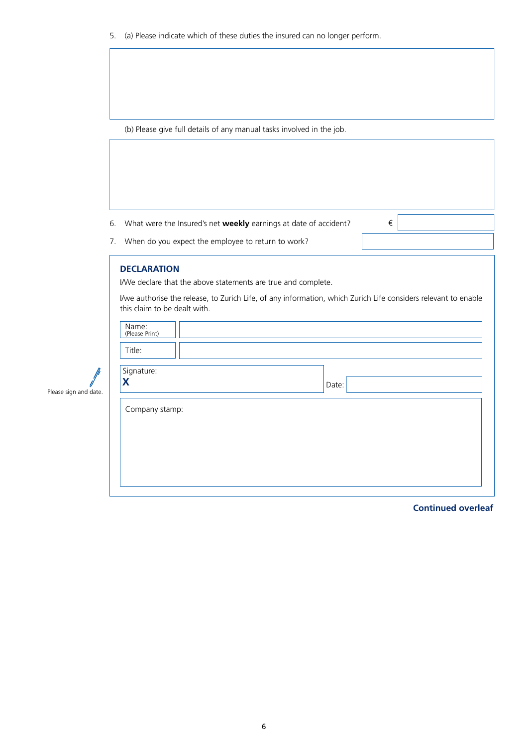5. (a) Please indicate which of these duties the insured can no longer perform.

(b) Please give full details of any manual tasks involved in the job.

6. What were the Insured's net **weekly** earnings at date of accident?  $\epsilon$ 

7. When do you expect the employee to return to work?

#### **DECLARATION**

Please sign and date.

I/We declare that the above statements are true and complete.

I/we authorise the release, to Zurich Life, of any information, which Zurich Life considers relevant to enable this claim to be dealt with.

| Name:<br>(Please Print) |       |  |
|-------------------------|-------|--|
| Title:                  |       |  |
| Signature:              |       |  |
| Х                       | Date: |  |
|                         |       |  |
| Company stamp:          |       |  |
|                         |       |  |
|                         |       |  |

**Continued overleaf**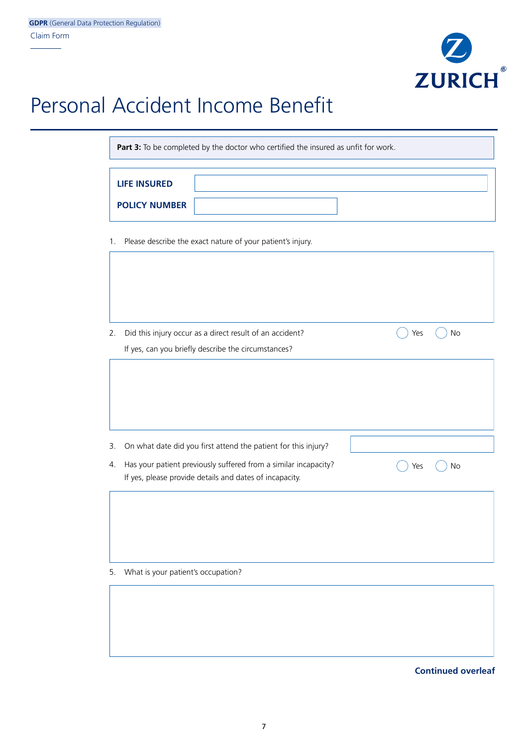

## Personal Accident Income Benefit

Part 3: To be completed by the doctor who certified the insured as unfit for work.

| <b>LIFE INSURED</b>  |  |
|----------------------|--|
| <b>POLICY NUMBER</b> |  |

1. Please describe the exact nature of your patient's injury.

| 2. | Did this injury occur as a direct result of an accident?        | Yes | No |
|----|-----------------------------------------------------------------|-----|----|
|    | If yes, can you briefly describe the circumstances?             |     |    |
|    |                                                                 |     |    |
| 3. | On what date did you first attend the patient for this injury?  |     |    |
| 4. | Has your patient previously suffered from a similar incapacity? | Yes | No |
|    | If yes, please provide details and dates of incapacity.         |     |    |
|    |                                                                 |     |    |
| 5. | What is your patient's occupation?                              |     |    |
|    |                                                                 |     |    |

**Continued overleaf**